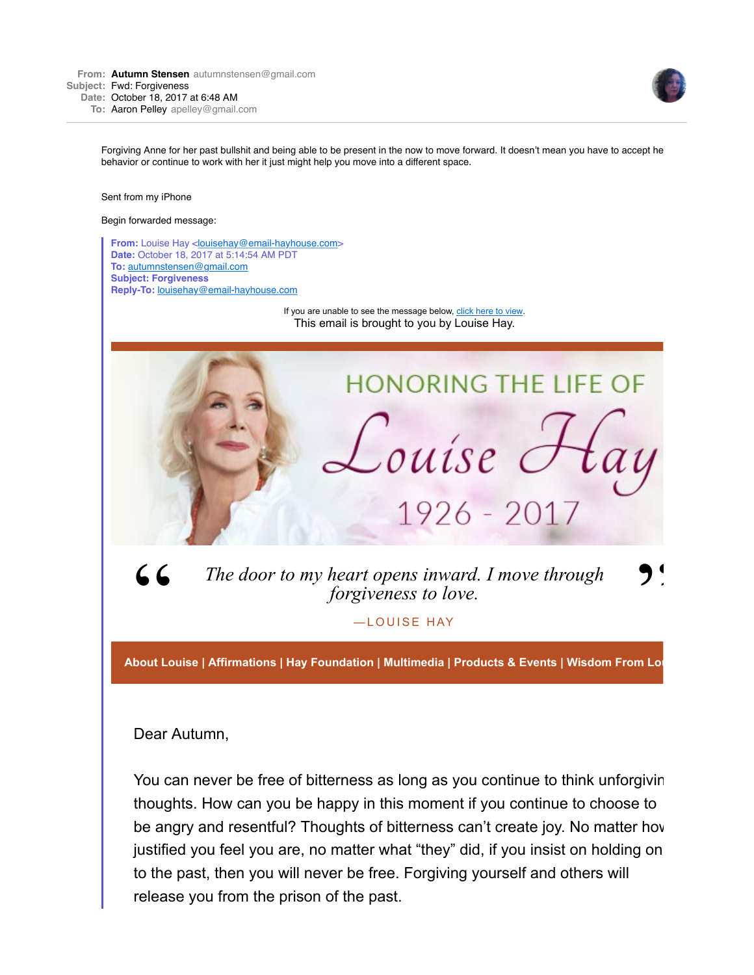

Forgiving Anne for her past bullshit and being able to be present in the now to move forward. It doesn't mean you have to accept he behavior or continue to work with her it just might help you move into a different space.

Sent from my iPhone

Begin forwarded message:

From: Louise Hay <[louisehay@email-hayhouse.com](mailto:louisehay@email-hayhouse.com)> **Date:** October 18, 2017 at 5:14:54 AM PDT **To:** [autumnstensen@gmail.com](mailto:autumnstensen@gmail.com) **Subject: Forgiveness Reply-To:** [louisehay@email-hayhouse.com](mailto:louisehay@email-hayhouse.com)

> If you are unable to see the message below, [click here to view.](http://links.hayhouse.mkt5657.com/servlet/MailView?ms=NTUxNjA5ODgS1&r=Mjc4NTczMjQ3MDg4S0&j=MTI2Mjk5Njk5NAS2&mt=1&rt=0) This email is brought to you by Louise Hay.



" *The door to my heart opens inward. I move through forgiveness to love.* **"** 

#### —LOUISE HAY

**[About Louise](http://links.hayhouse.mkt5657.com/ctt?kn=98&ms=NTUxNjA5ODgS1&r=Mjc4NTczMjQ3MDg4S0&b=0&j=MTI2Mjk5Njk5NAS2&mt=1&rt=0) | [Affirmations](http://links.hayhouse.mkt5657.com/ctt?kn=8&ms=NTUxNjA5ODgS1&r=Mjc4NTczMjQ3MDg4S0&b=0&j=MTI2Mjk5Njk5NAS2&mt=1&rt=0) | [Hay Foundation](http://links.hayhouse.mkt5657.com/ctt?kn=27&ms=NTUxNjA5ODgS1&r=Mjc4NTczMjQ3MDg4S0&b=0&j=MTI2Mjk5Njk5NAS2&mt=1&rt=0) [| Multimedia](http://links.hayhouse.mkt5657.com/ctt?kn=93&ms=NTUxNjA5ODgS1&r=Mjc4NTczMjQ3MDg4S0&b=0&j=MTI2Mjk5Njk5NAS2&mt=1&rt=0) | [Products & Events](http://links.hayhouse.mkt5657.com/ctt?kn=49&ms=NTUxNjA5ODgS1&r=Mjc4NTczMjQ3MDg4S0&b=0&j=MTI2Mjk5Njk5NAS2&mt=1&rt=0) | [Wisdom From Lou](http://links.hayhouse.mkt5657.com/ctt?kn=14&ms=NTUxNjA5ODgS1&r=Mjc4NTczMjQ3MDg4S0&b=0&j=MTI2Mjk5Njk5NAS2&mt=1&rt=0)ise**

Dear Autumn,

You can never be free of bitterness as long as you continue to think unforgiving thoughts. How can you be happy in this moment if you continue to choose to be angry and resentful? Thoughts of bitterness can't create joy. No matter how justified you feel you are, no matter what "they" did, if you insist on holding on to the past, then you will never be free. Forgiving yourself and others will release you from the prison of the past.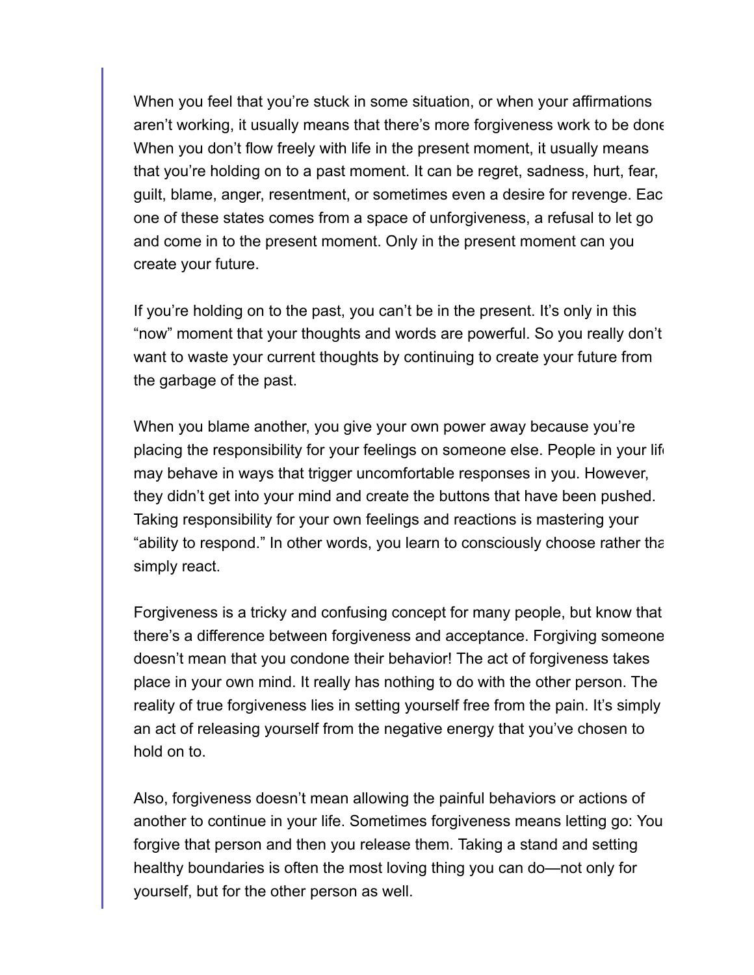When you feel that you're stuck in some situation, or when your affirmations aren't working, it usually means that there's more forgiveness work to be done. When you don't flow freely with life in the present moment, it usually means that you're holding on to a past moment. It can be regret, sadness, hurt, fear, guilt, blame, anger, resentment, or sometimes even a desire for revenge. Each one of these states comes from a space of unforgiveness, a refusal to let go and come in to the present moment. Only in the present moment can you create your future.

If you're holding on to the past, you can't be in the present. It's only in this "now" moment that your thoughts and words are powerful. So you really don't want to waste your current thoughts by continuing to create your future from the garbage of the past.

When you blame another, you give your own power away because you're placing the responsibility for your feelings on someone else. People in your life may behave in ways that trigger uncomfortable responses in you. However, they didn't get into your mind and create the buttons that have been pushed. Taking responsibility for your own feelings and reactions is mastering your "ability to respond." In other words, you learn to consciously choose rather tha simply react.

Forgiveness is a tricky and confusing concept for many people, but know that there's a difference between forgiveness and acceptance. Forgiving someone doesn't mean that you condone their behavior! The act of forgiveness takes place in your own mind. It really has nothing to do with the other person. The reality of true forgiveness lies in setting yourself free from the pain. It's simply an act of releasing yourself from the negative energy that you've chosen to hold on to.

Also, forgiveness doesn't mean allowing the painful behaviors or actions of another to continue in your life. Sometimes forgiveness means letting go: You forgive that person and then you release them. Taking a stand and setting healthy boundaries is often the most loving thing you can do—not only for yourself, but for the other person as well.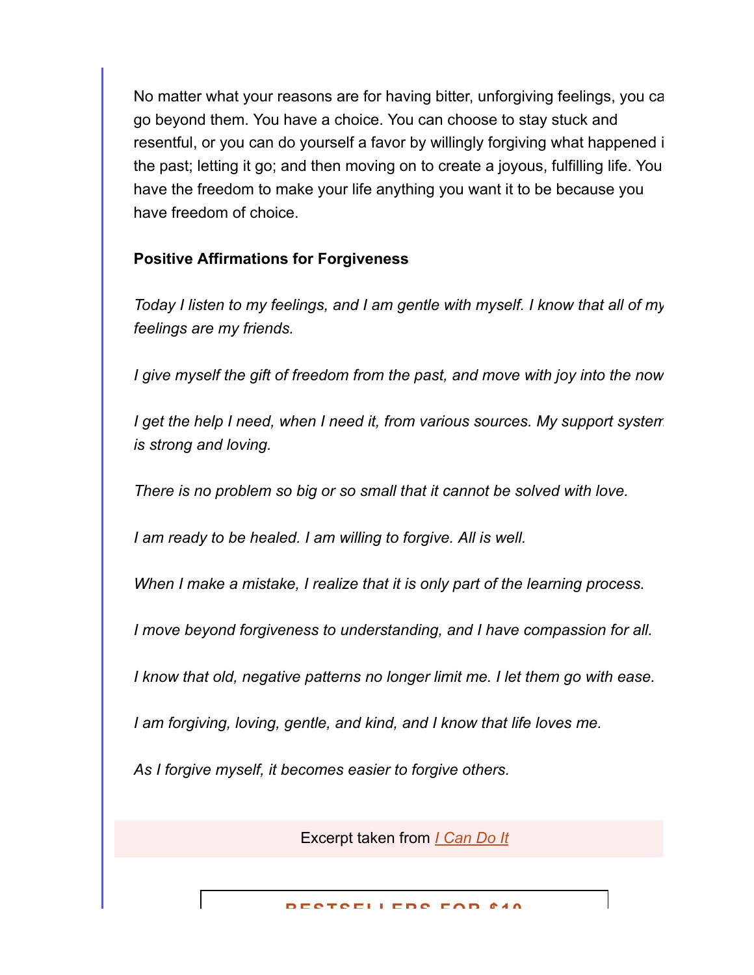No matter what your reasons are for having bitter, unforgiving feelings, you can go beyond them. You have a choice. You can choose to stay stuck and resentful, or you can do yourself a favor by willingly forgiving what happened i the past; letting it go; and then moving on to create a joyous, fulfilling life. You have the freedom to make your life anything you want it to be because you have freedom of choice.

### **Positive Affirmations for Forgiveness**

*Today I listen to my feelings, and I am gentle with myself. I know that all of my feelings are my friends.* 

*I give myself the gift of freedom from the past, and move with joy into the now.* 

*I get the help I need, when I need it, from various sources. My support system is strong and loving.* 

*There is no problem so big or so small that it cannot be solved with love.* 

*I am ready to be healed. I am willing to forgive. All is well.* 

*When I make a mistake, I realize that it is only part of the learning process.* 

*I move beyond forgiveness to understanding, and I have compassion for all.* 

*I know that old, negative patterns no longer limit me. I let them go with ease.* 

*I am forgiving, loving, gentle, and kind, and I know that life loves me.* 

*As I forgive myself, it becomes easier to forgive others.*

Excerpt taken from *[I Can Do It](http://links.hayhouse.mkt5657.com/ctt?kn=92&ms=NTUxNjA5ODgS1&r=Mjc4NTczMjQ3MDg4S0&b=0&j=MTI2Mjk5Njk5NAS2&mt=1&rt=0)*

**BESTSELLERS FOR \$10**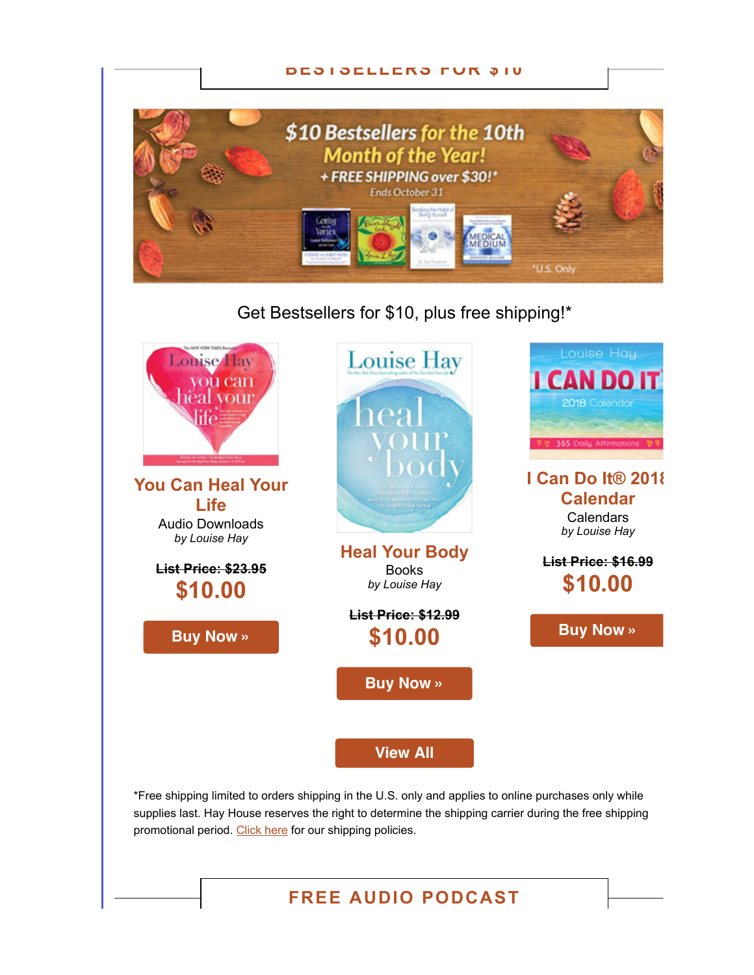

# Get Bestsellers for \$10, plus free shipping!\*



supplies last. Hay House reserves the right to determine the shipping carrier during the free shipping promotional period. [Click here](http://links.hayhouse.mkt5657.com/ctt?kn=41&ms=NTUxNjA5ODgS1&r=Mjc4NTczMjQ3MDg4S0&b=0&j=MTI2Mjk5Njk5NAS2&mt=1&rt=0) for our shipping policies.

# **FREE AUDIO PODCAST**